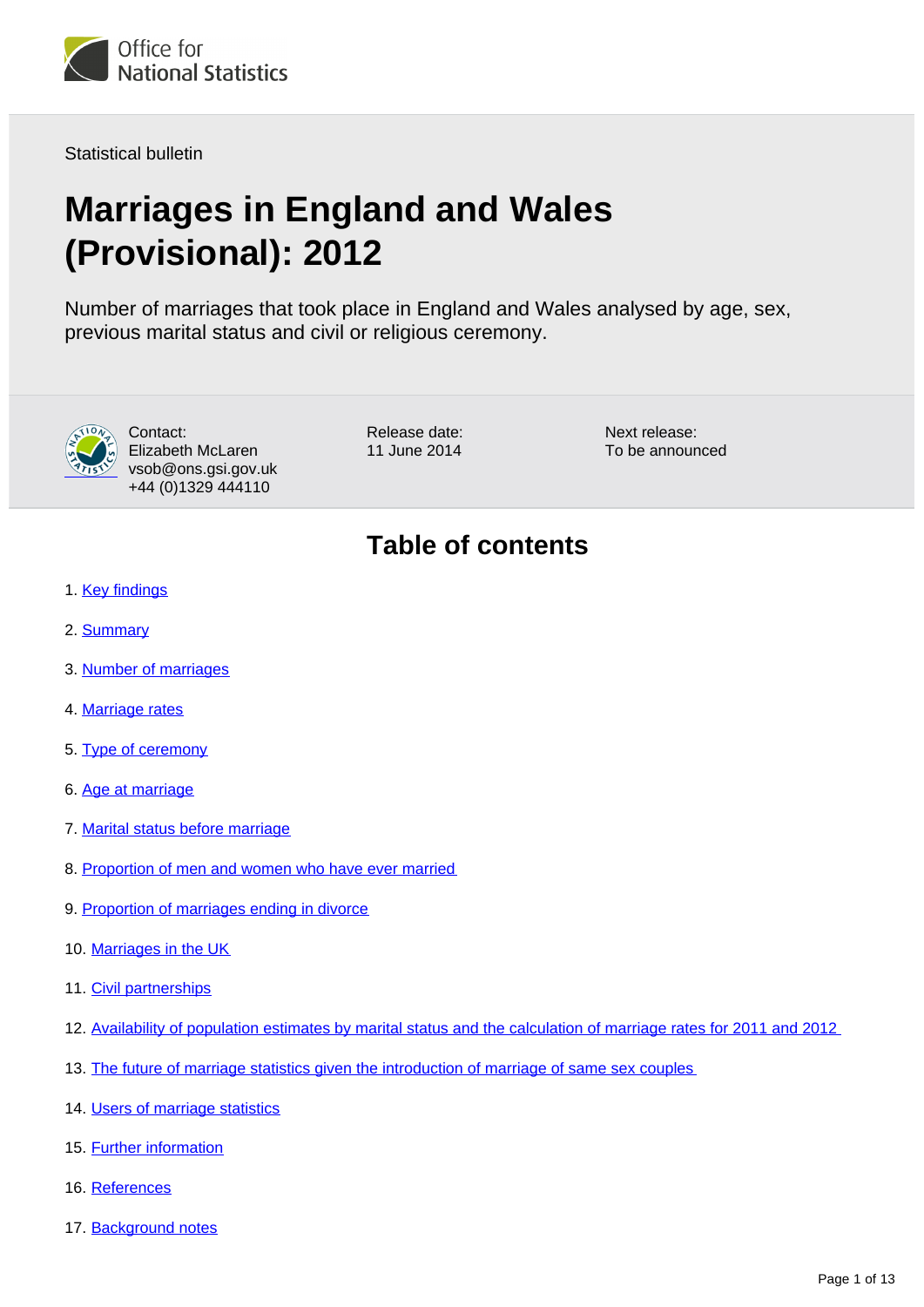

Statistical bulletin

# **Marriages in England and Wales (Provisional): 2012**

Number of marriages that took place in England and Wales analysed by age, sex, previous marital status and civil or religious ceremony.



Contact: Elizabeth McLaren vsob@ons.gsi.gov.uk +44 (0)1329 444110

Release date: 11 June 2014

Next release: To be announced

### **Table of contents**

- 1. [Key findings](#page-1-0)
- 2. [Summary](#page-1-1)
- 3. [Number of marriages](#page-1-2)
- 4. [Marriage rates](#page-3-0)
- 5. [Type of ceremony](#page-4-0)
- 6. [Age at marriage](#page-5-0)
- 7. [Marital status before marriage](#page-7-0)
- 8. [Proportion of men and women who have ever married](#page-7-1)
- 9. [Proportion of marriages ending in divorce](#page-7-2)
- 10. [Marriages in the UK](#page-8-0)
- 11. [Civil partnerships](#page-8-1)
- 12. [Availability of population estimates by marital status and the calculation of marriage rates for 2011 and 2012](#page-8-2)
- 13. [The future of marriage statistics given the introduction of marriage of same sex couples](#page-9-0)
- 14. [Users of marriage statistics](#page-9-1)
- 15. Further information
- 16. References
- 17. Background notes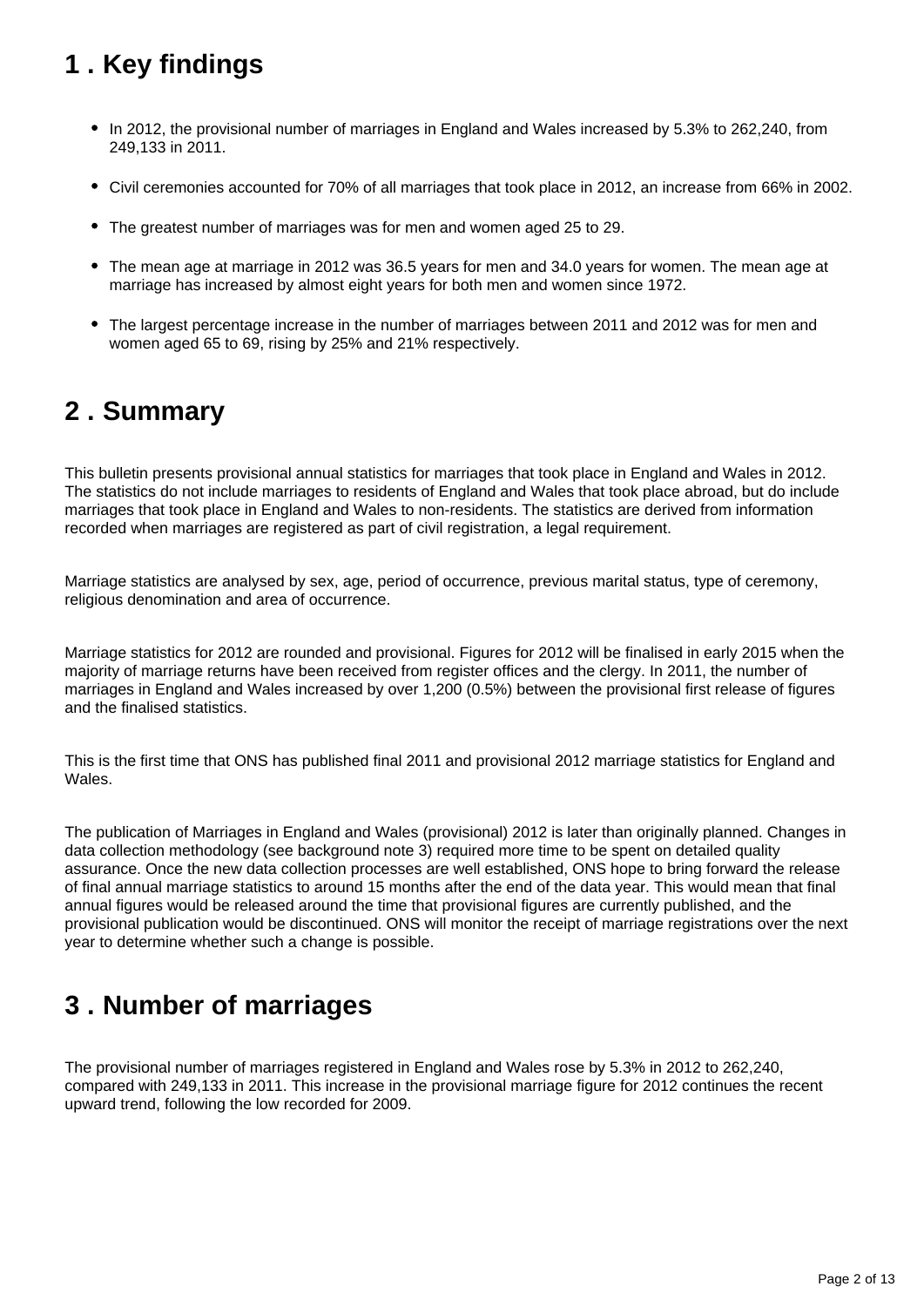# <span id="page-1-0"></span>**1 . Key findings**

- In 2012, the provisional number of marriages in England and Wales increased by 5.3% to 262,240, from 249,133 in 2011.
- Civil ceremonies accounted for 70% of all marriages that took place in 2012, an increase from 66% in 2002.
- The greatest number of marriages was for men and women aged 25 to 29.
- The mean age at marriage in 2012 was 36.5 years for men and 34.0 years for women. The mean age at marriage has increased by almost eight years for both men and women since 1972.
- The largest percentage increase in the number of marriages between 2011 and 2012 was for men and women aged 65 to 69, rising by 25% and 21% respectively.

### <span id="page-1-1"></span>**2 . Summary**

This bulletin presents provisional annual statistics for marriages that took place in England and Wales in 2012. The statistics do not include marriages to residents of England and Wales that took place abroad, but do include marriages that took place in England and Wales to non-residents. The statistics are derived from information recorded when marriages are registered as part of civil registration, a legal requirement.

Marriage statistics are analysed by sex, age, period of occurrence, previous marital status, type of ceremony, religious denomination and area of occurrence.

Marriage statistics for 2012 are rounded and provisional. Figures for 2012 will be finalised in early 2015 when the majority of marriage returns have been received from register offices and the clergy. In 2011, the number of marriages in England and Wales increased by over 1,200 (0.5%) between the provisional first release of figures and the finalised statistics.

This is the first time that ONS has published final 2011 and provisional 2012 marriage statistics for England and Wales.

The publication of Marriages in England and Wales (provisional) 2012 is later than originally planned. Changes in data collection methodology (see background note 3) required more time to be spent on detailed quality assurance. Once the new data collection processes are well established, ONS hope to bring forward the release of final annual marriage statistics to around 15 months after the end of the data year. This would mean that final annual figures would be released around the time that provisional figures are currently published, and the provisional publication would be discontinued. ONS will monitor the receipt of marriage registrations over the next year to determine whether such a change is possible.

### <span id="page-1-2"></span>**3 . Number of marriages**

The provisional number of marriages registered in England and Wales rose by 5.3% in 2012 to 262,240, compared with 249,133 in 2011. This increase in the provisional marriage figure for 2012 continues the recent upward trend, following the low recorded for 2009.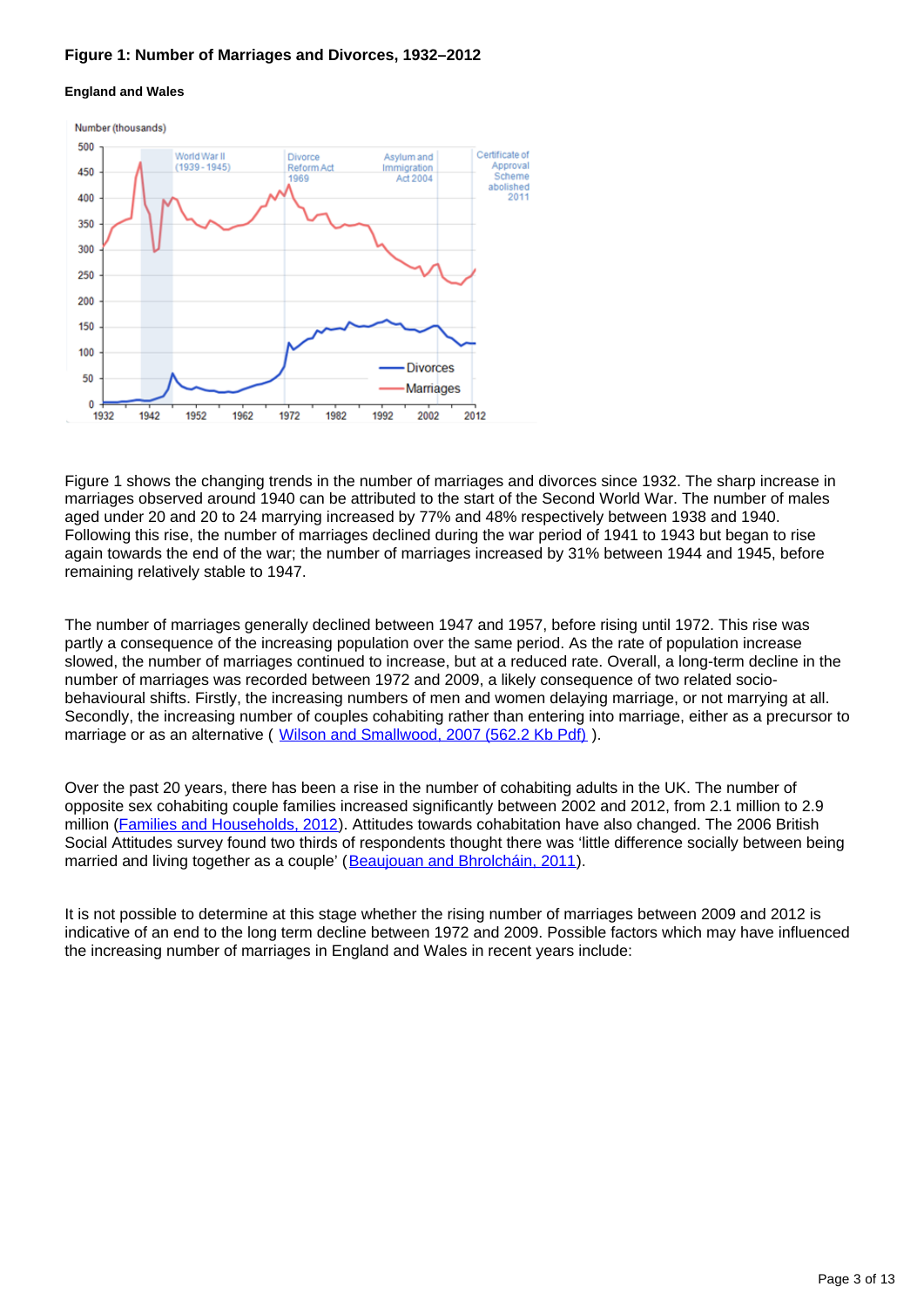#### **Figure 1: Number of Marriages and Divorces, 1932–2012**

#### **England and Wales**



Figure 1 shows the changing trends in the number of marriages and divorces since 1932. The sharp increase in marriages observed around 1940 can be attributed to the start of the Second World War. The number of males aged under 20 and 20 to 24 marrying increased by 77% and 48% respectively between 1938 and 1940. Following this rise, the number of marriages declined during the war period of 1941 to 1943 but began to rise again towards the end of the war; the number of marriages increased by 31% between 1944 and 1945, before remaining relatively stable to 1947.

The number of marriages generally declined between 1947 and 1957, before rising until 1972. This rise was partly a consequence of the increasing population over the same period. As the rate of population increase slowed, the number of marriages continued to increase, but at a reduced rate. Overall, a long-term decline in the number of marriages was recorded between 1972 and 2009, a likely consequence of two related sociobehavioural shifts. Firstly, the increasing numbers of men and women delaying marriage, or not marrying at all. Secondly, the increasing number of couples cohabiting rather than entering into marriage, either as a precursor to marriage or as an alternative ( [Wilson and Smallwood, 2007 \(562.2 Kb Pdf\)](http://www.ons.gov.uk/ons/rel/population-trends-rd/population-trends/no--128--summer-2007/understanding-recent-trends-in-marriage.pdf) ).

Over the past 20 years, there has been a rise in the number of cohabiting adults in the UK. The number of opposite sex cohabiting couple families increased significantly between 2002 and 2012, from 2.1 million to 2.9 million (*[Families and Households, 2012](http://www.ons.gov.uk/ons/rel/family-demography/families-and-households/2012.html)*). Attitudes towards cohabitation have also changed. The 2006 British Social Attitudes survey found two thirds of respondents thought there was 'little difference socially between being married and living together as a couple' ([Beaujouan and Bhrolcháin, 2011\)](http://www.ons.gov.uk/ons/rel/population-trends-rd/population-trends/no--145--autumn-2011/ard-pt145-cohab-marriage-trends.pdf).

It is not possible to determine at this stage whether the rising number of marriages between 2009 and 2012 is indicative of an end to the long term decline between 1972 and 2009. Possible factors which may have influenced the increasing number of marriages in England and Wales in recent years include: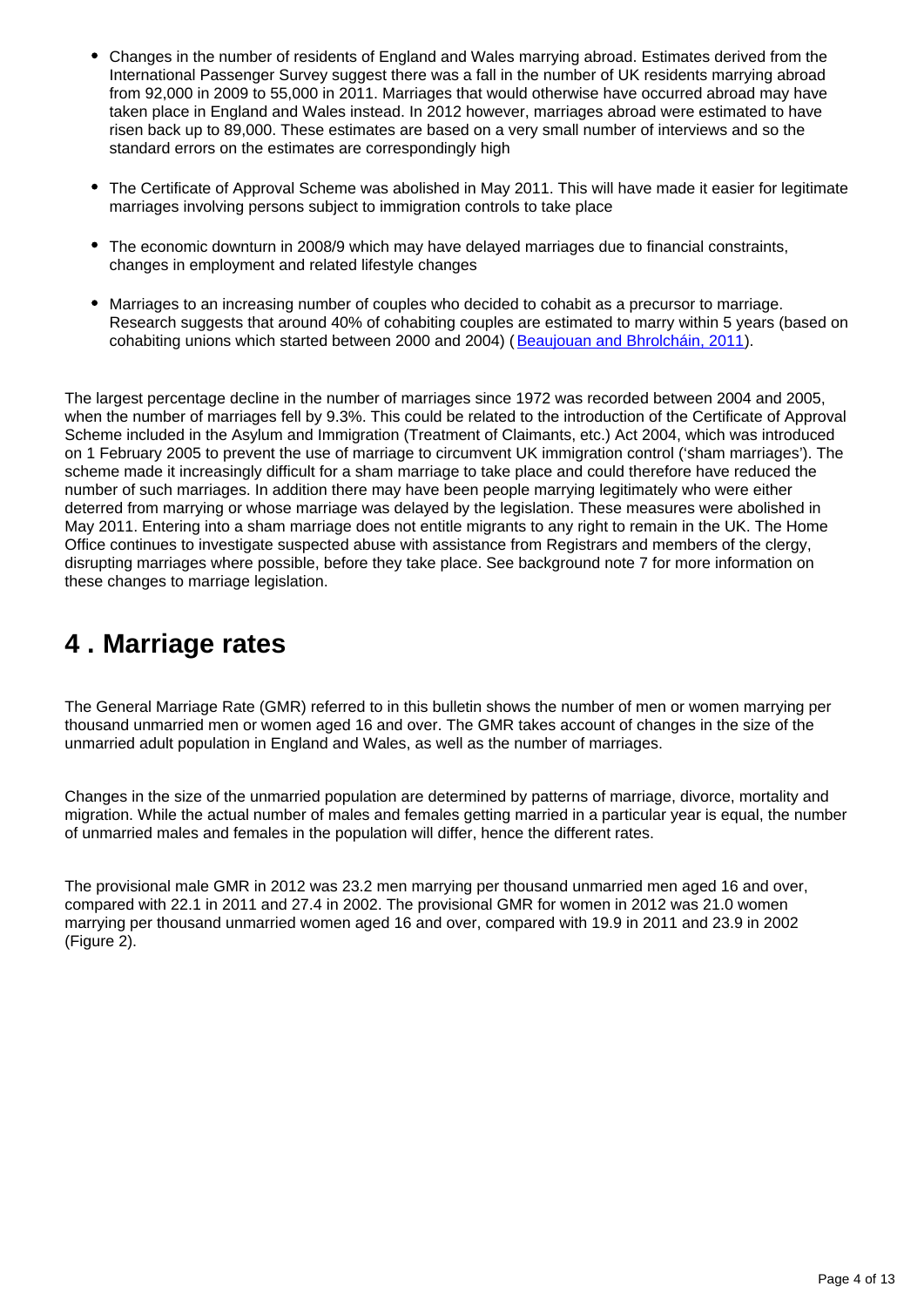- Changes in the number of residents of England and Wales marrying abroad. Estimates derived from the International Passenger Survey suggest there was a fall in the number of UK residents marrying abroad from 92,000 in 2009 to 55,000 in 2011. Marriages that would otherwise have occurred abroad may have taken place in England and Wales instead. In 2012 however, marriages abroad were estimated to have risen back up to 89,000. These estimates are based on a very small number of interviews and so the standard errors on the estimates are correspondingly high
- The Certificate of Approval Scheme was abolished in May 2011. This will have made it easier for legitimate marriages involving persons subject to immigration controls to take place
- The economic downturn in 2008/9 which may have delayed marriages due to financial constraints, changes in employment and related lifestyle changes
- Marriages to an increasing number of couples who decided to cohabit as a precursor to marriage. Research suggests that around 40% of cohabiting couples are estimated to marry within 5 years (based on cohabiting unions which started between 2000 and 2004) ([Beaujouan and Bhrolcháin, 2011\)](http://www.ons.gov.uk/ons/rel/population-trends-rd/population-trends/no--145--autumn-2011/ard-pt145-cohab-marriage-trends.pdf).

The largest percentage decline in the number of marriages since 1972 was recorded between 2004 and 2005, when the number of marriages fell by 9.3%. This could be related to the introduction of the Certificate of Approval Scheme included in the Asylum and Immigration (Treatment of Claimants, etc.) Act 2004, which was introduced on 1 February 2005 to prevent the use of marriage to circumvent UK immigration control ('sham marriages'). The scheme made it increasingly difficult for a sham marriage to take place and could therefore have reduced the number of such marriages. In addition there may have been people marrying legitimately who were either deterred from marrying or whose marriage was delayed by the legislation. These measures were abolished in May 2011. Entering into a sham marriage does not entitle migrants to any right to remain in the UK. The Home Office continues to investigate suspected abuse with assistance from Registrars and members of the clergy, disrupting marriages where possible, before they take place. See background note 7 for more information on these changes to marriage legislation.

### <span id="page-3-0"></span>**4 . Marriage rates**

The General Marriage Rate (GMR) referred to in this bulletin shows the number of men or women marrying per thousand unmarried men or women aged 16 and over. The GMR takes account of changes in the size of the unmarried adult population in England and Wales, as well as the number of marriages.

Changes in the size of the unmarried population are determined by patterns of marriage, divorce, mortality and migration. While the actual number of males and females getting married in a particular year is equal, the number of unmarried males and females in the population will differ, hence the different rates.

The provisional male GMR in 2012 was 23.2 men marrying per thousand unmarried men aged 16 and over, compared with 22.1 in 2011 and 27.4 in 2002. The provisional GMR for women in 2012 was 21.0 women marrying per thousand unmarried women aged 16 and over, compared with 19.9 in 2011 and 23.9 in 2002 (Figure 2).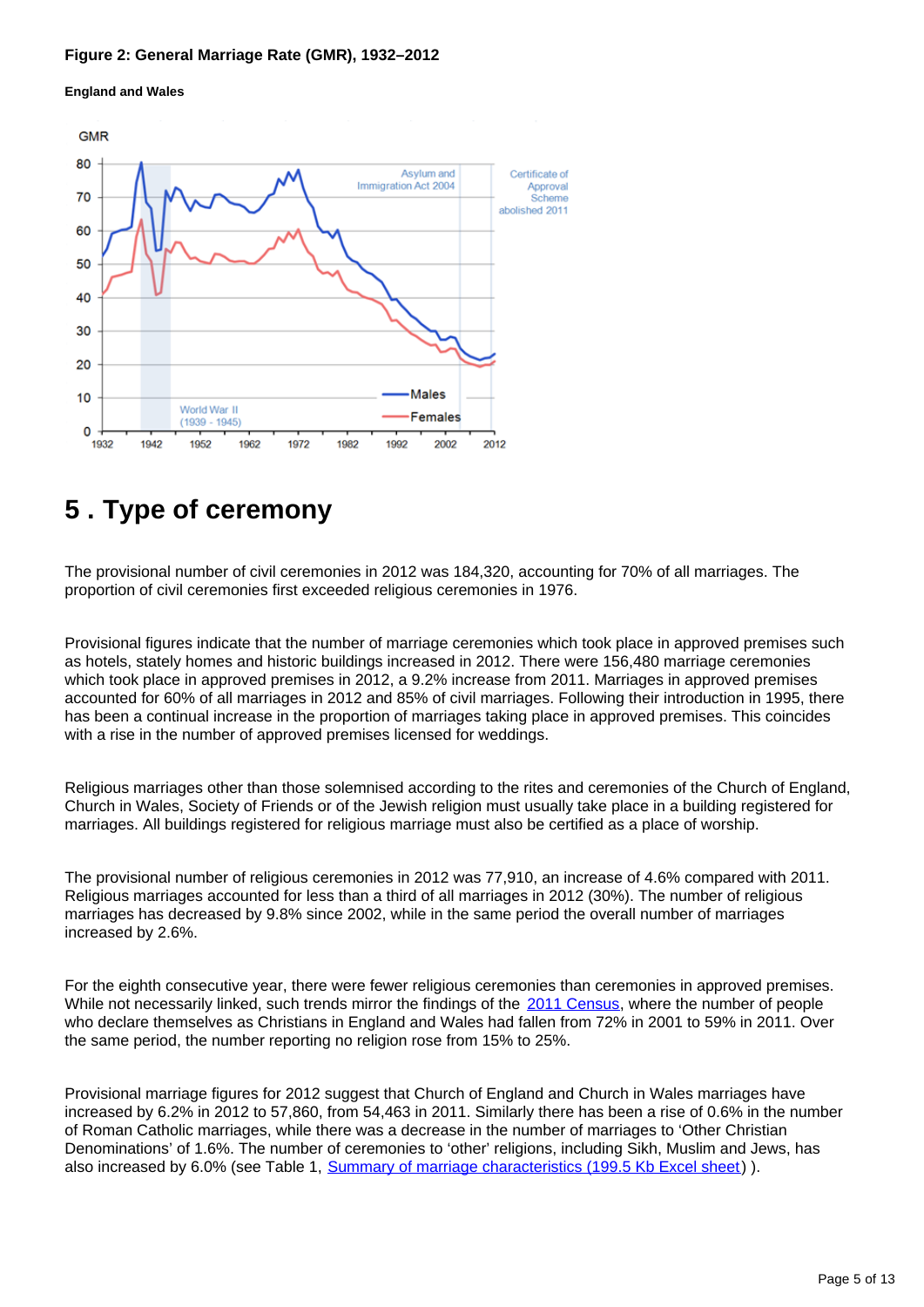#### **Figure 2: General Marriage Rate (GMR), 1932–2012**





### <span id="page-4-0"></span>**5 . Type of ceremony**

The provisional number of civil ceremonies in 2012 was 184,320, accounting for 70% of all marriages. The proportion of civil ceremonies first exceeded religious ceremonies in 1976.

Provisional figures indicate that the number of marriage ceremonies which took place in approved premises such as hotels, stately homes and historic buildings increased in 2012. There were 156,480 marriage ceremonies which took place in approved premises in 2012, a 9.2% increase from 2011. Marriages in approved premises accounted for 60% of all marriages in 2012 and 85% of civil marriages. Following their introduction in 1995, there has been a continual increase in the proportion of marriages taking place in approved premises. This coincides with a rise in the number of approved premises licensed for weddings.

Religious marriages other than those solemnised according to the rites and ceremonies of the Church of England, Church in Wales, Society of Friends or of the Jewish religion must usually take place in a building registered for marriages. All buildings registered for religious marriage must also be certified as a place of worship.

The provisional number of religious ceremonies in 2012 was 77,910, an increase of 4.6% compared with 2011. Religious marriages accounted for less than a third of all marriages in 2012 (30%). The number of religious marriages has decreased by 9.8% since 2002, while in the same period the overall number of marriages increased by 2.6%.

For the eighth consecutive year, there were fewer religious ceremonies than ceremonies in approved premises. While not necessarily linked, such trends mirror the findings of the [2011 Census,](http://www.ons.gov.uk/ons/rel/census/2011-census/key-statistics-for-local-authorities-in-england-and-wales/rpt-religion.html#tab-Changing-picture-of-religious-affiliation-over-last-decade) where the number of people who declare themselves as Christians in England and Wales had fallen from 72% in 2001 to 59% in 2011. Over the same period, the number reporting no religion rose from 15% to 25%.

Provisional marriage figures for 2012 suggest that Church of England and Church in Wales marriages have increased by 6.2% in 2012 to 57,860, from 54,463 in 2011. Similarly there has been a rise of 0.6% in the number of Roman Catholic marriages, while there was a decrease in the number of marriages to 'Other Christian Denominations' of 1.6%. The number of ceremonies to 'other' religions, including Sikh, Muslim and Jews, has also increased by 6.0% (see Table 1, [Summary of marriage characteristics \(199.5 Kb Excel sheet\)](http://www.ons.gov.uk/ons/rel/vsob1/marriages-in-england-and-wales--provisional-/2012/rtd-marriage-summary-statistics-2012--provisional-.xls) ).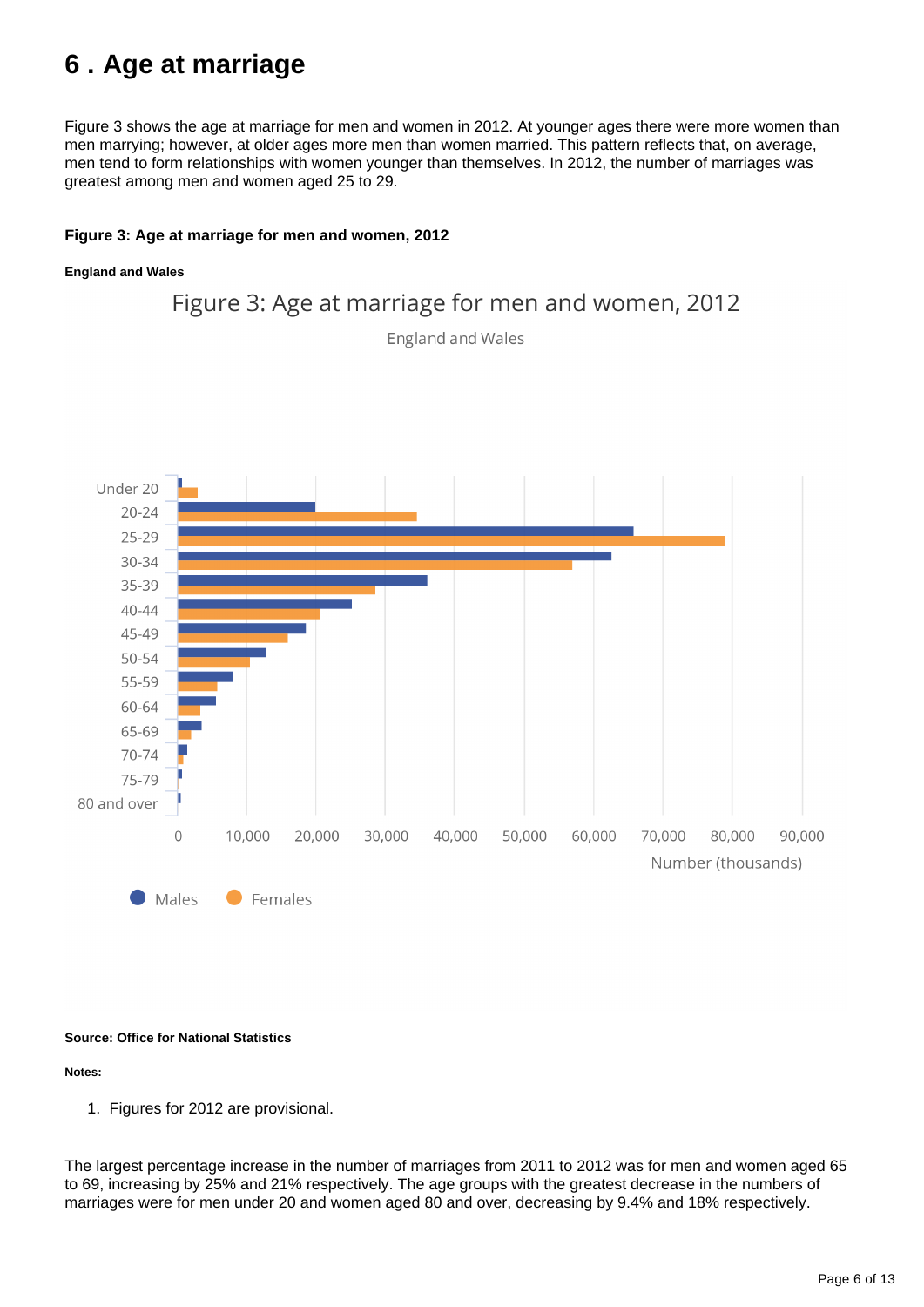## <span id="page-5-0"></span>**6 . Age at marriage**

Figure 3 shows the age at marriage for men and women in 2012. At younger ages there were more women than men marrying; however, at older ages more men than women married. This pattern reflects that, on average, men tend to form relationships with women younger than themselves. In 2012, the number of marriages was greatest among men and women aged 25 to 29.

#### **Figure 3: Age at marriage for men and women, 2012**

#### **England and Wales**



#### **Source: Office for National Statistics**

#### **Notes:**

1. Figures for 2012 are provisional.

The largest percentage increase in the number of marriages from 2011 to 2012 was for men and women aged 65 to 69, increasing by 25% and 21% respectively. The age groups with the greatest decrease in the numbers of marriages were for men under 20 and women aged 80 and over, decreasing by 9.4% and 18% respectively.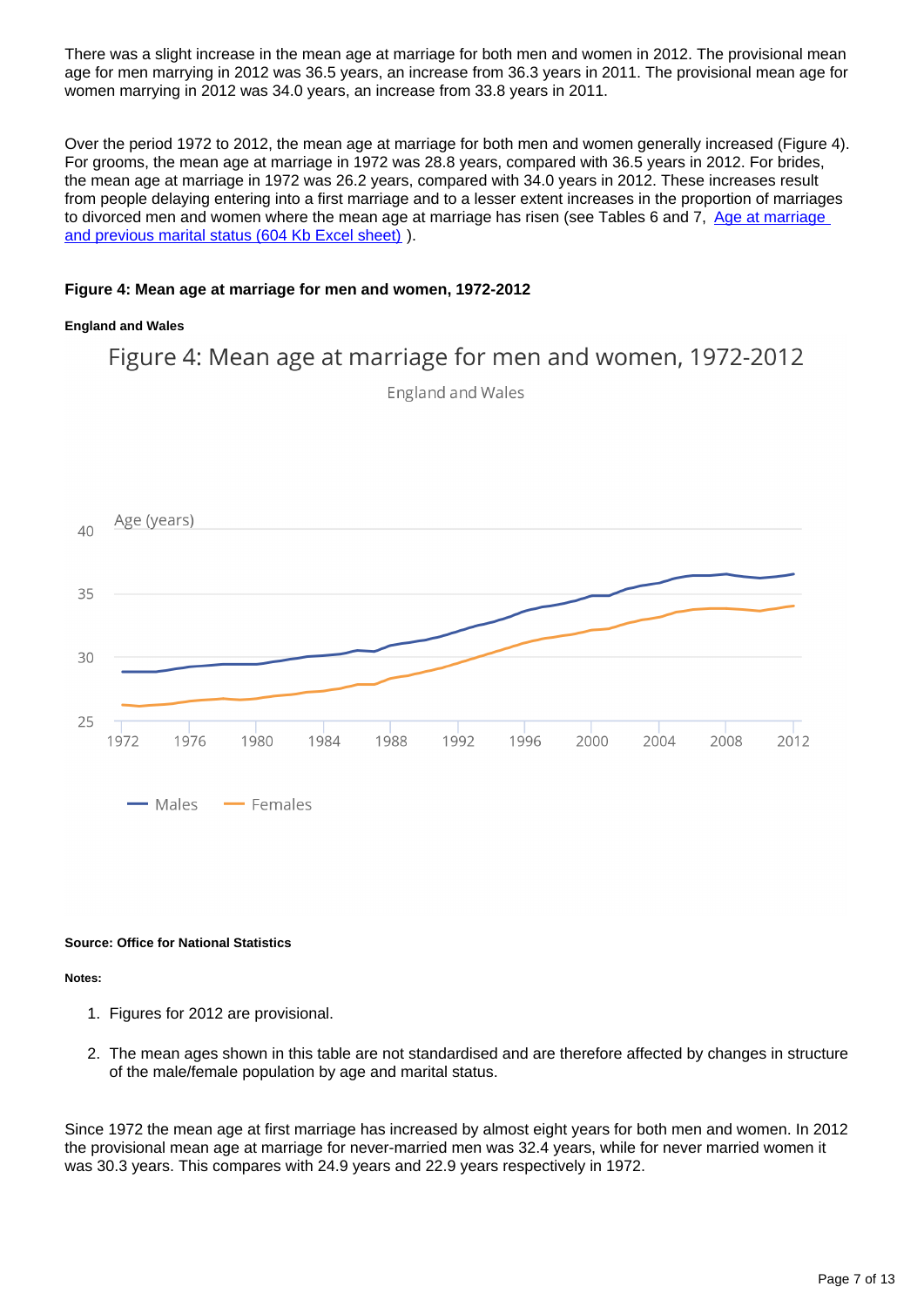There was a slight increase in the mean age at marriage for both men and women in 2012. The provisional mean age for men marrying in 2012 was 36.5 years, an increase from 36.3 years in 2011. The provisional mean age for women marrying in 2012 was 34.0 years, an increase from 33.8 years in 2011.

Over the period 1972 to 2012, the mean age at marriage for both men and women generally increased (Figure 4). For grooms, the mean age at marriage in 1972 was 28.8 years, compared with 36.5 years in 2012. For brides, the mean age at marriage in 1972 was 26.2 years, compared with 34.0 years in 2012. These increases result from people delaying entering into a first marriage and to a lesser extent increases in the proportion of marriages to divorced men and women where the mean age at marriage has risen (see Tables 6 and 7. Age at marriage [and previous marital status \(604 Kb Excel sheet\)](http://www.ons.gov.uk/ons/rel/vsob1/marriages-in-england-and-wales--provisional-/2012/rtd-age-at-marriage-and-previous-marital-status.xls) ).

#### **Figure 4: Mean age at marriage for men and women, 1972-2012**

#### **England and Wales**

Figure 4: Mean age at marriage for men and women, 1972-2012 England and Wales



#### **Source: Office for National Statistics**

**Notes:**

- 1. Figures for 2012 are provisional.
- 2. The mean ages shown in this table are not standardised and are therefore affected by changes in structure of the male/female population by age and marital status.

Since 1972 the mean age at first marriage has increased by almost eight years for both men and women. In 2012 the provisional mean age at marriage for never-married men was 32.4 years, while for never married women it was 30.3 years. This compares with 24.9 years and 22.9 years respectively in 1972.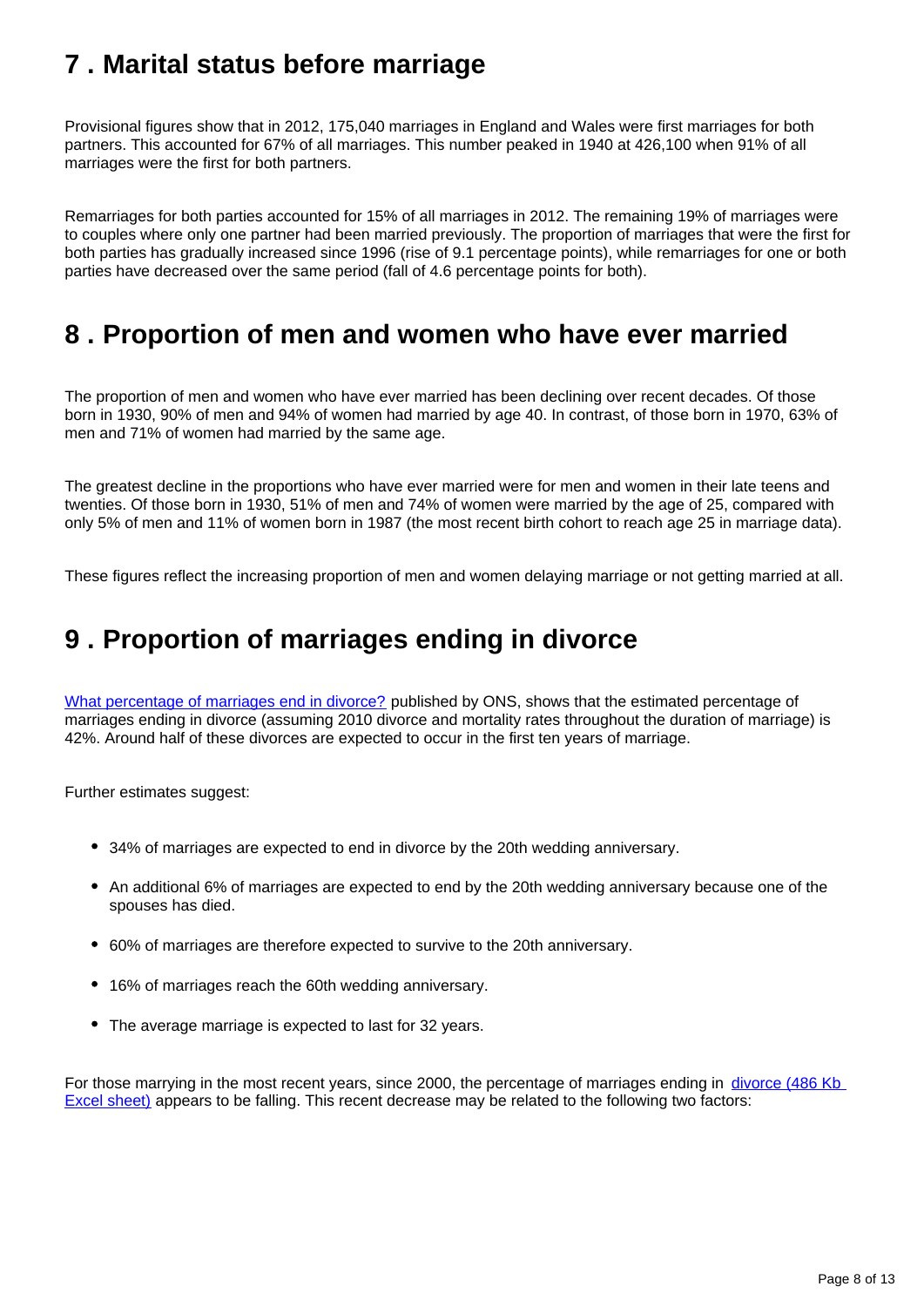### <span id="page-7-0"></span>**7 . Marital status before marriage**

Provisional figures show that in 2012, 175,040 marriages in England and Wales were first marriages for both partners. This accounted for 67% of all marriages. This number peaked in 1940 at 426,100 when 91% of all marriages were the first for both partners.

Remarriages for both parties accounted for 15% of all marriages in 2012. The remaining 19% of marriages were to couples where only one partner had been married previously. The proportion of marriages that were the first for both parties has gradually increased since 1996 (rise of 9.1 percentage points), while remarriages for one or both parties have decreased over the same period (fall of 4.6 percentage points for both).

### <span id="page-7-1"></span>**8 . Proportion of men and women who have ever married**

The proportion of men and women who have ever married has been declining over recent decades. Of those born in 1930, 90% of men and 94% of women had married by age 40. In contrast, of those born in 1970, 63% of men and 71% of women had married by the same age.

The greatest decline in the proportions who have ever married were for men and women in their late teens and twenties. Of those born in 1930, 51% of men and 74% of women were married by the age of 25, compared with only 5% of men and 11% of women born in 1987 (the most recent birth cohort to reach age 25 in marriage data).

These figures reflect the increasing proportion of men and women delaying marriage or not getting married at all.

### <span id="page-7-2"></span>**9 . Proportion of marriages ending in divorce**

[What percentage of marriages end in divorce?](http://www.ons.gov.uk/ons/rel/vsob1/divorces-in-england-and-wales/2011/sty-what-percentage-of-marriages-end-in-divorce.html) published by ONS, shows that the estimated percentage of marriages ending in divorce (assuming 2010 divorce and mortality rates throughout the duration of marriage) is 42%. Around half of these divorces are expected to occur in the first ten years of marriage.

Further estimates suggest:

- 34% of marriages are expected to end in divorce by the 20th wedding anniversary.
- An additional 6% of marriages are expected to end by the 20th wedding anniversary because one of the spouses has died.
- 60% of marriages are therefore expected to survive to the 20th anniversary.
- 16% of marriages reach the 60th wedding anniversary.
- The average marriage is expected to last for 32 years.

For those marrying in the most recent years, since 2000, the percentage of marriages ending in divorce (486 Kb [Excel sheet\)](http://www.ons.gov.uk/ons/rel/vsob1/divorces-in-england-and-wales/2012/rtd-divorces---age-at-marriage-duration-of-marriage-and-cohort-analyses.xls) appears to be falling. This recent decrease may be related to the following two factors: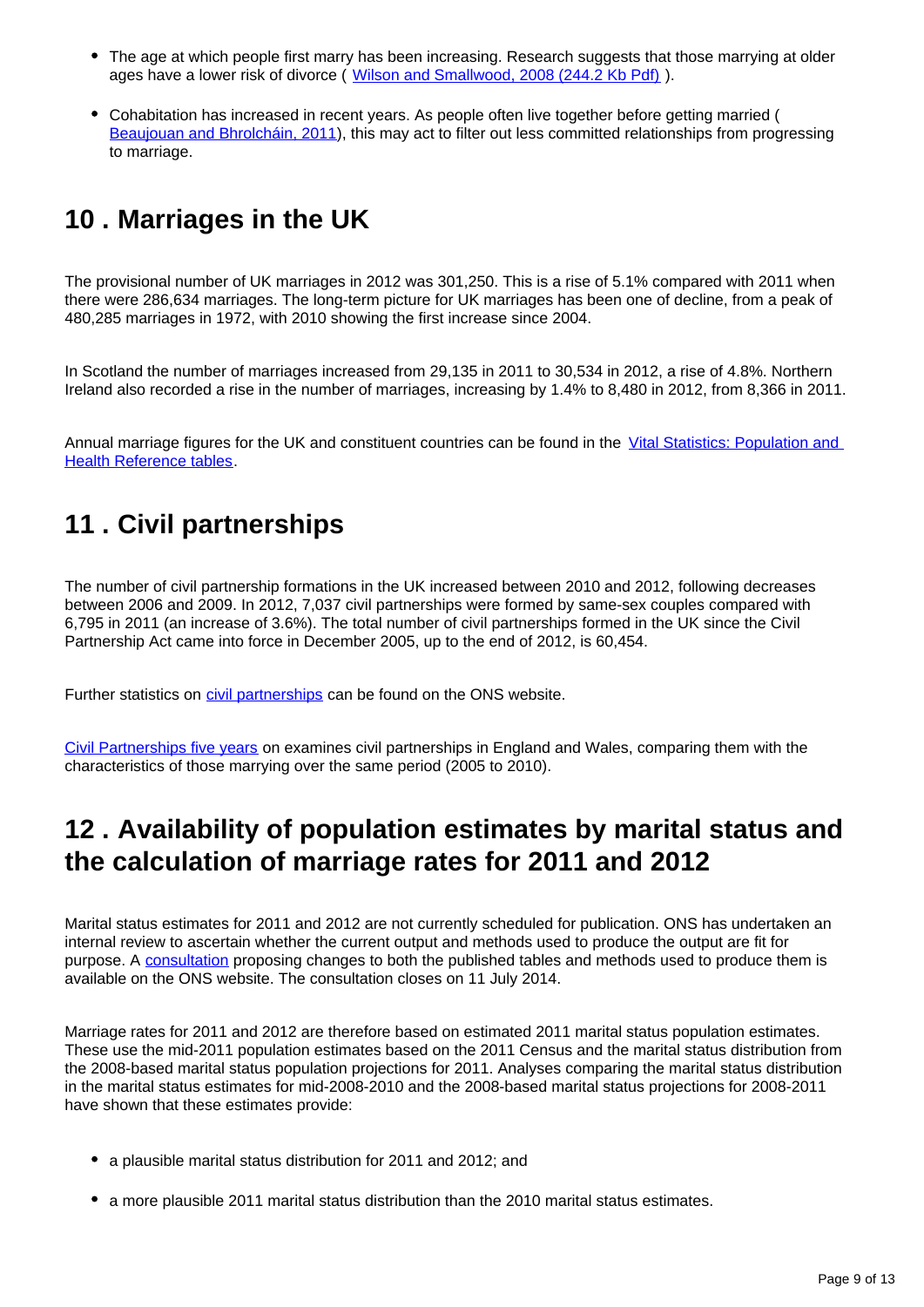- The age at which people first marry has been increasing. Research suggests that those marrying at older ages have a lower risk of divorce ( [Wilson and Smallwood, 2008 \(244.2 Kb Pdf\)](http://www.ons.gov.uk/ons/rel/population-trends-rd/population-trends/no--131--spring-2008/the-proportion-of-marriages-ending-in-divorce.pdf) ).
- Cohabitation has increased in recent years. As people often live together before getting married ( [Beaujouan and Bhrolcháin, 2011](http://www.ons.gov.uk/ons/rel/population-trends-rd/population-trends/no--145--autumn-2011/ard-pt145-cohab-marriage-trends.pdf)), this may act to filter out less committed relationships from progressing to marriage.

# <span id="page-8-0"></span>**10 . Marriages in the UK**

The provisional number of UK marriages in 2012 was 301,250. This is a rise of 5.1% compared with 2011 when there were 286,634 marriages. The long-term picture for UK marriages has been one of decline, from a peak of 480,285 marriages in 1972, with 2010 showing the first increase since 2004.

In Scotland the number of marriages increased from 29,135 in 2011 to 30,534 in 2012, a rise of 4.8%. Northern Ireland also recorded a rise in the number of marriages, increasing by 1.4% to 8,480 in 2012, from 8,366 in 2011.

Annual marriage figures for the UK and constituent countries can be found in the Vital Statistics: Population and [Health Reference tables](http://www.ons.gov.uk/ons/rel/vsob1/vital-statistics--population-and-health-reference-tables/index.html).

## <span id="page-8-1"></span>**11 . Civil partnerships**

The number of civil partnership formations in the UK increased between 2010 and 2012, following decreases between 2006 and 2009. In 2012, 7,037 civil partnerships were formed by same-sex couples compared with 6,795 in 2011 (an increase of 3.6%). The total number of civil partnerships formed in the UK since the Civil Partnership Act came into force in December 2005, up to the end of 2012, is 60,454.

Further statistics on *[civil partnerships](http://www.ons.gov.uk/ons/rel/vsob2/civil-partnership-statistics--united-kingdom/index.html)* can be found on the ONS website.

[Civil Partnerships five years](http://www.ons.gov.uk/ons/rel/population-trends-rd/population-trends/no--145--autumn-2011/ard-pt145-civil-partnerships.pdf) on examines civil partnerships in England and Wales, comparing them with the characteristics of those marrying over the same period (2005 to 2010).

### <span id="page-8-2"></span>**12 . Availability of population estimates by marital status and the calculation of marriage rates for 2011 and 2012**

Marital status estimates for 2011 and 2012 are not currently scheduled for publication. ONS has undertaken an internal review to ascertain whether the current output and methods used to produce the output are fit for purpose. A [consultation](http://www.ons.gov.uk/ons/about-ons/get-involved/consultations-and-user-surveys/open-consultations/2014/consultation-on-population-estimates-by-marital-status-and-living-arrangements/index.html) proposing changes to both the published tables and methods used to produce them is available on the ONS website. The consultation closes on 11 July 2014.

Marriage rates for 2011 and 2012 are therefore based on estimated 2011 marital status population estimates. These use the mid-2011 population estimates based on the 2011 Census and the marital status distribution from the 2008-based marital status population projections for 2011. Analyses comparing the marital status distribution in the marital status estimates for mid-2008-2010 and the 2008-based marital status projections for 2008-2011 have shown that these estimates provide:

- a plausible marital status distribution for 2011 and 2012; and
- a more plausible 2011 marital status distribution than the 2010 marital status estimates.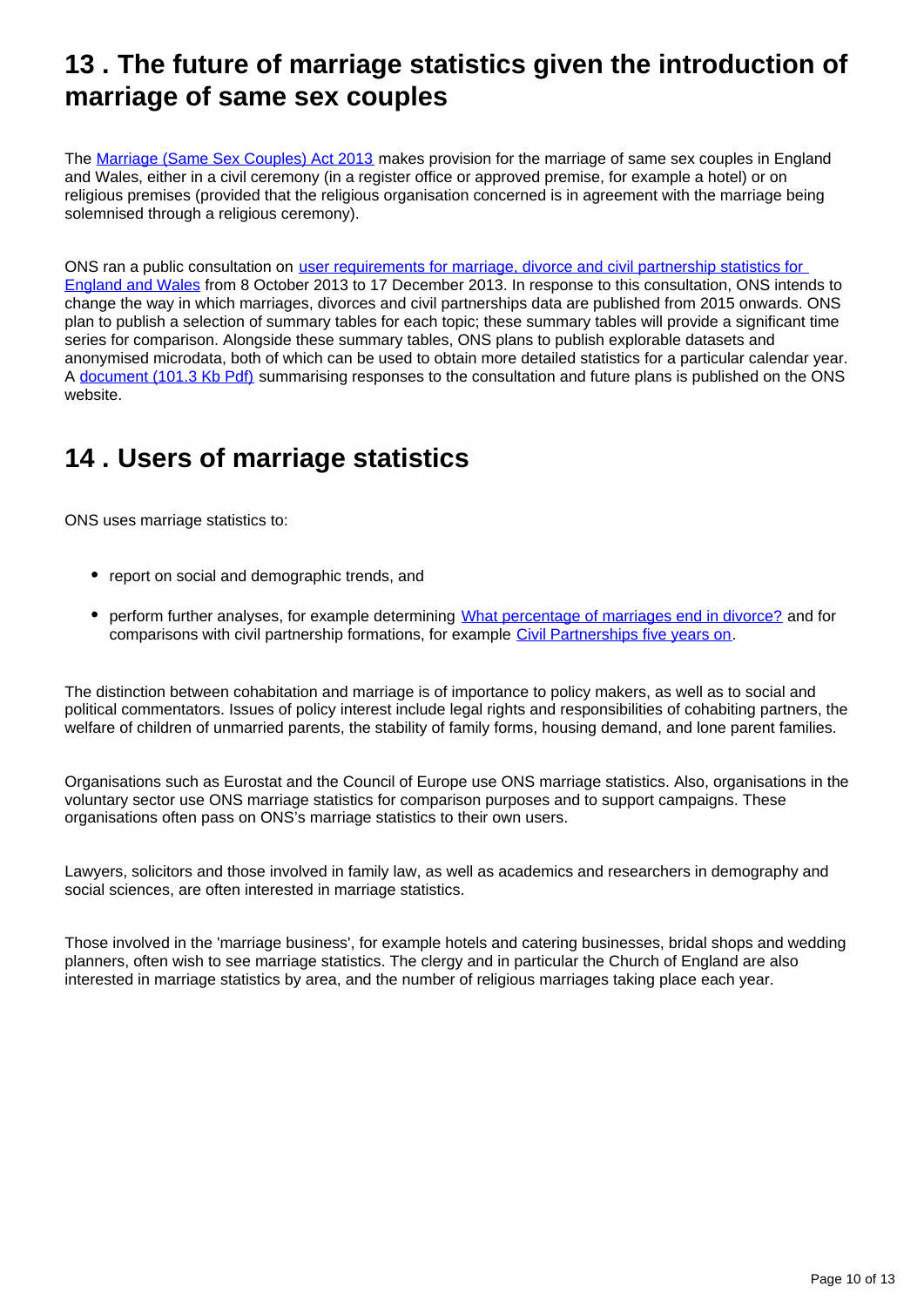### <span id="page-9-0"></span>**13 . The future of marriage statistics given the introduction of marriage of same sex couples**

The [Marriage \(Same Sex Couples\) Act 2013](http://services.parliament.uk/bills/2012-13/marriagesamesexcouplesbill/documents.html) makes provision for the marriage of same sex couples in England and Wales, either in a civil ceremony (in a register office or approved premise, for example a hotel) or on religious premises (provided that the religious organisation concerned is in agreement with the marriage being solemnised through a religious ceremony).

ONS ran a public consultation on [user requirements for marriage, divorce and civil partnership statistics for](http://www.ons.gov.uk/ons/about-ons/get-involved/consultations-and-user-surveys/consultations/user-requirements-for-marriage--divorce-and-civil-partnership-statistics/index.html)  [England and Wales](http://www.ons.gov.uk/ons/about-ons/get-involved/consultations-and-user-surveys/consultations/user-requirements-for-marriage--divorce-and-civil-partnership-statistics/index.html) from 8 October 2013 to 17 December 2013. In response to this consultation, ONS intends to change the way in which marriages, divorces and civil partnerships data are published from 2015 onwards. ONS plan to publish a selection of summary tables for each topic; these summary tables will provide a significant time series for comparison. Alongside these summary tables, ONS plans to publish explorable datasets and anonymised microdata, both of which can be used to obtain more detailed statistics for a particular calendar year. A [document \(101.3 Kb Pdf\)](http://www.ons.gov.uk/ons/about-ons/get-involved/consultations-and-user-surveys/consultations/user-requirements-for-marriage--divorce-and-civil-partnership-statistics/summary-of-responses-and-future-plans.pdf) summarising responses to the consultation and future plans is published on the ONS website.

# <span id="page-9-1"></span>**14 . Users of marriage statistics**

ONS uses marriage statistics to:

- report on social and demographic trends, and
- perform further analyses, for example determining [What percentage of marriages end in divorce?](http://www.ons.gov.uk/ons/rel/vsob1/divorces-in-england-and-wales/2011/sty-what-percentage-of-marriages-end-in-divorce.html) and for comparisons with civil partnership formations, for example [Civil Partnerships five years on.](http://www.ons.gov.uk/ons/rel/population-trends-rd/population-trends/no--145--autumn-2011/index.html)

The distinction between cohabitation and marriage is of importance to policy makers, as well as to social and political commentators. Issues of policy interest include legal rights and responsibilities of cohabiting partners, the welfare of children of unmarried parents, the stability of family forms, housing demand, and lone parent families.

Organisations such as Eurostat and the Council of Europe use ONS marriage statistics. Also, organisations in the voluntary sector use ONS marriage statistics for comparison purposes and to support campaigns. These organisations often pass on ONS's marriage statistics to their own users.

Lawyers, solicitors and those involved in family law, as well as academics and researchers in demography and social sciences, are often interested in marriage statistics.

Those involved in the 'marriage business', for example hotels and catering businesses, bridal shops and wedding planners, often wish to see marriage statistics. The clergy and in particular the Church of England are also interested in marriage statistics by area, and the number of religious marriages taking place each year.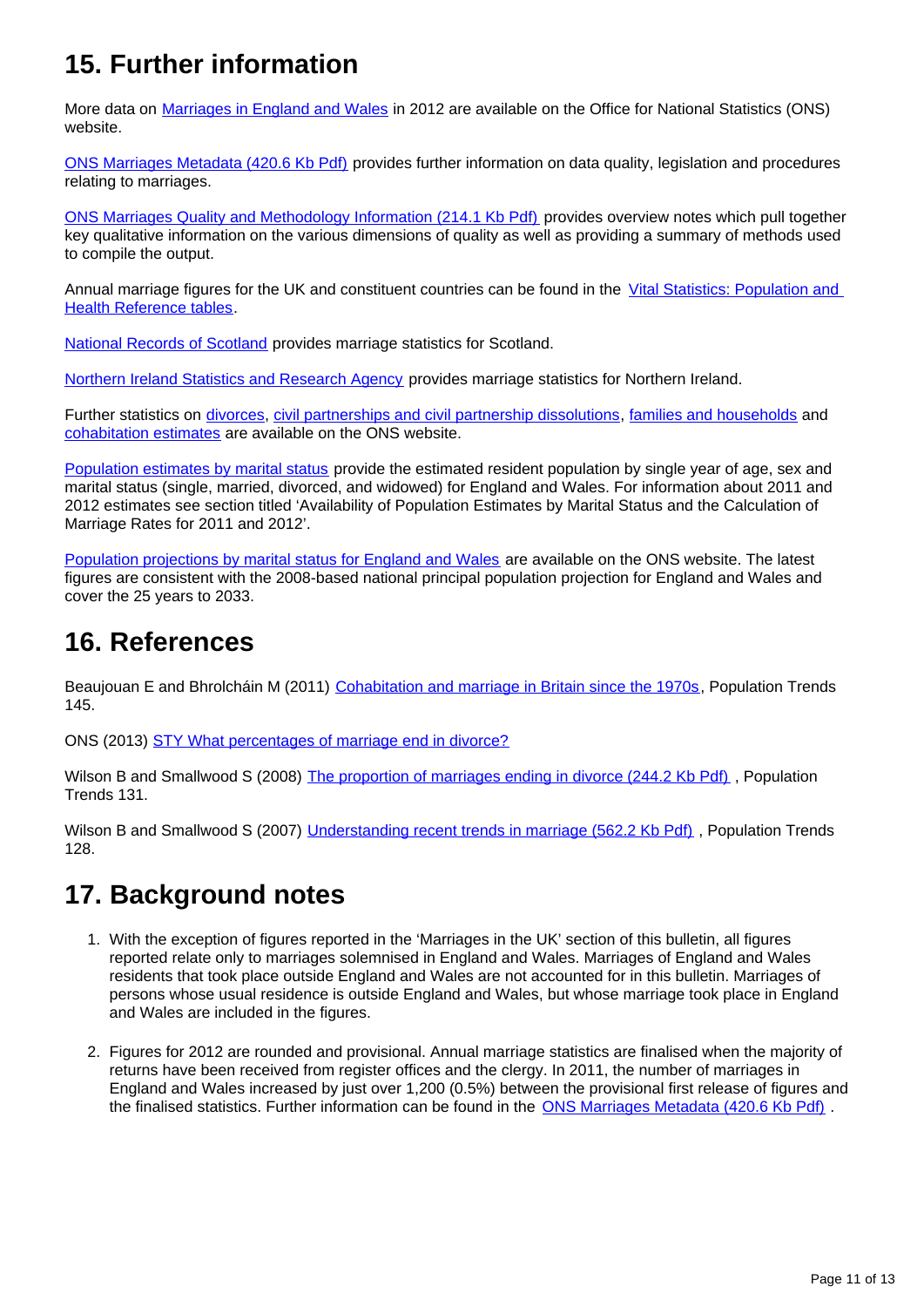# **15. Further information**

More data on [Marriages in England and Wales](http://www.ons.gov.uk/ons/rel/vsob1/marriages-in-england-and-wales--provisional-/index.html) in 2012 are available on the Office for National Statistics (ONS) website.

[ONS Marriages Metadata \(420.6 Kb Pdf\)](http://www.ons.gov.uk/ons/guide-method/user-guidance/health-and-life-events/marriages-2011.pdf) provides further information on data quality, legislation and procedures relating to marriages.

[ONS Marriages Quality and Methodology Information \(214.1 Kb Pdf\)](http://www.ons.gov.uk/ons/guide-method/method-quality/quality/quality-information/health-and-social-care/quality-and-methodology-information-for-marriages-in-england-and-wales.pdf) provides overview notes which pull together key qualitative information on the various dimensions of quality as well as providing a summary of methods used to compile the output.

Annual marriage figures for the UK and constituent countries can be found in the Vital Statistics: Population and [Health Reference tables](http://www.ons.gov.uk/ons/rel/vsob1/vital-statistics--population-and-health-reference-tables/index.html).

[National Records of Scotland](http://www.ons.gov.uk/ons/external-links/devolved-admins/scottish-government/gro-scotland--marriages-and-civil-partnerships.html) provides marriage statistics for Scotland.

[Northern Ireland Statistics and Research Agency](http://www.ons.gov.uk/ons/external-links/devolved-admins/nisra/nisra--marriages.html) provides marriage statistics for Northern Ireland.

Further statistics on [divorces,](http://www.ons.gov.uk/ons/rel/vsob1/divorces-in-england-and-wales/index.html) [civil partnerships and civil partnership dissolutions,](http://www.ons.gov.uk/ons/rel/vsob2/civil-partnership-statistics--united-kingdom/index.html) [families and households](http://www.ons.gov.uk/ons/rel/family-demography/families-and-households/index.html) and [cohabitation estimates](http://www.ons.gov.uk/ons/rel/family-demography/cohabitation-estimates--england-and-wales/index.html) are available on the ONS website.

[Population estimates by marital status](http://www.ons.gov.uk/ons/rel/pop-estimate/population-estimates-by-marital-status/index.html) provide the estimated resident population by single year of age, sex and marital status (single, married, divorced, and widowed) for England and Wales. For information about 2011 and 2012 estimates see section titled 'Availability of Population Estimates by Marital Status and the Calculation of Marriage Rates for 2011 and 2012'.

[Population projections by marital status for England and Wales](http://www.ons.gov.uk/ons/rel/npp/marital-status-population-projections-for-england---wales/index.html) are available on the ONS website. The latest figures are consistent with the 2008-based national principal population projection for England and Wales and cover the 25 years to 2033.

### **16. References**

Beaujouan E and Bhrolcháin M (2011) [Cohabitation and marriage in Britain since the 1970s](http://www.ons.gov.uk/ons/rel/population-trends-rd/population-trends/no--145--autumn-2011/ard-pt145-cohab-marriage-trends.pdf), Population Trends 145.

ONS (2013) [STY What percentages of marriage end in divorce?](http://www.ons.gov.uk/ons/rel/vsob1/divorces-in-england-and-wales/2011/sty-what-percentage-of-marriages-end-in-divorce.html)

Wilson B and Smallwood S (2008) The proportion of marriages ending in divorce (244.2 Kb Pdf), Population Trends 131.

Wilson B and Smallwood S (2007) [Understanding recent trends in marriage \(562.2 Kb Pdf\)](http://www.ons.gov.uk/ons/rel/population-trends-rd/population-trends/no--128--summer-2007/understanding-recent-trends-in-marriage.pdf) , Population Trends 128.

### **17. Background notes**

- 1. With the exception of figures reported in the 'Marriages in the UK' section of this bulletin, all figures reported relate only to marriages solemnised in England and Wales. Marriages of England and Wales residents that took place outside England and Wales are not accounted for in this bulletin. Marriages of persons whose usual residence is outside England and Wales, but whose marriage took place in England and Wales are included in the figures.
- 2. Figures for 2012 are rounded and provisional. Annual marriage statistics are finalised when the majority of returns have been received from register offices and the clergy. In 2011, the number of marriages in England and Wales increased by just over 1,200 (0.5%) between the provisional first release of figures and the finalised statistics. Further information can be found in the [ONS Marriages Metadata \(420.6 Kb Pdf\)](http://www.ons.gov.uk/ons/guide-method/user-guidance/health-and-life-events/marriages-2011.pdf) .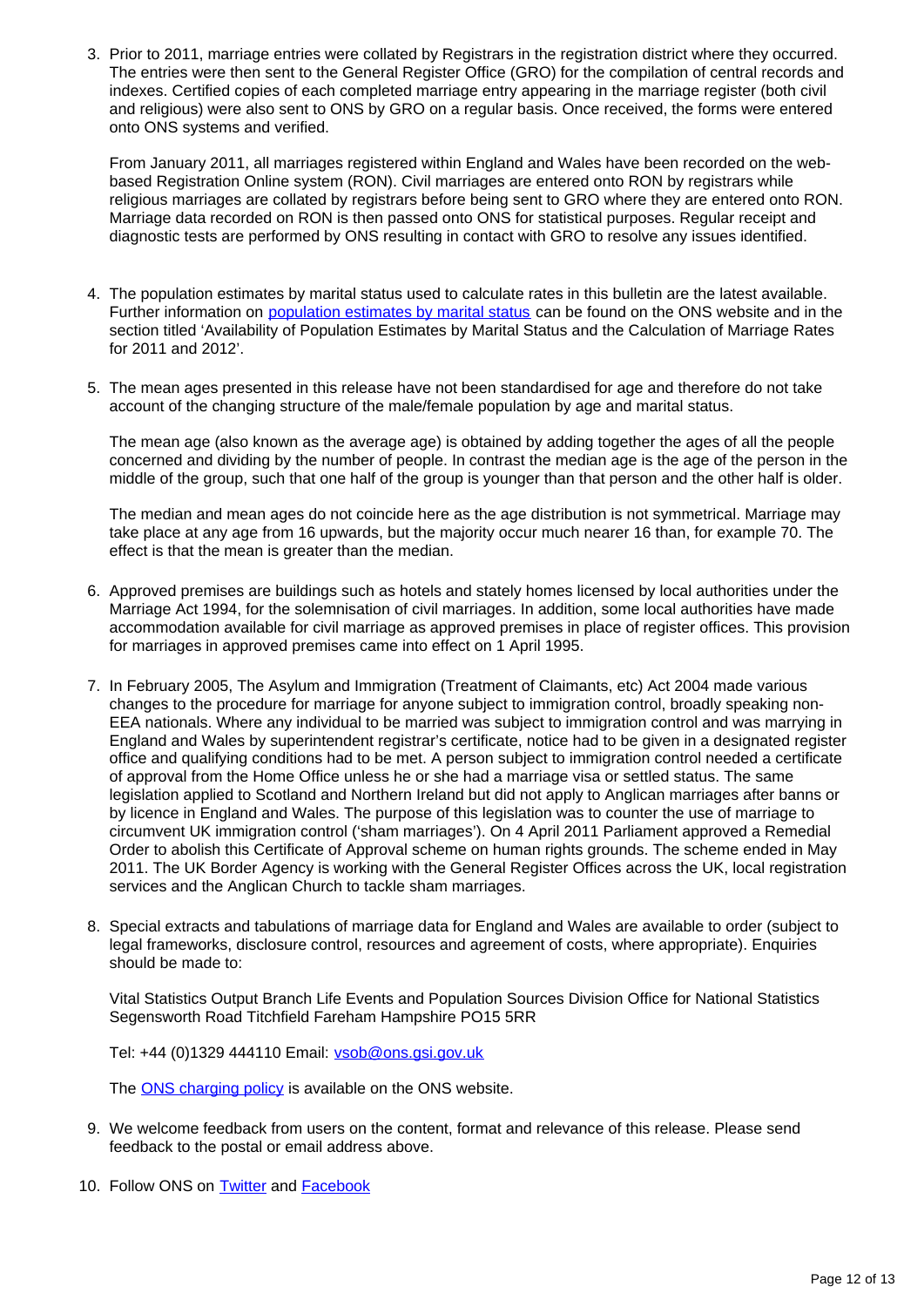3. Prior to 2011, marriage entries were collated by Registrars in the registration district where they occurred. The entries were then sent to the General Register Office (GRO) for the compilation of central records and indexes. Certified copies of each completed marriage entry appearing in the marriage register (both civil and religious) were also sent to ONS by GRO on a regular basis. Once received, the forms were entered onto ONS systems and verified.

From January 2011, all marriages registered within England and Wales have been recorded on the webbased Registration Online system (RON). Civil marriages are entered onto RON by registrars while religious marriages are collated by registrars before being sent to GRO where they are entered onto RON. Marriage data recorded on RON is then passed onto ONS for statistical purposes. Regular receipt and diagnostic tests are performed by ONS resulting in contact with GRO to resolve any issues identified.

- 4. The population estimates by marital status used to calculate rates in this bulletin are the latest available. Further information on [population estimates by marital status](http://www.ons.gov.uk/ons/rel/pop-estimate/population-estimates-by-marital-status/index.html) can be found on the ONS website and in the section titled 'Availability of Population Estimates by Marital Status and the Calculation of Marriage Rates for 2011 and 2012'.
- 5. The mean ages presented in this release have not been standardised for age and therefore do not take account of the changing structure of the male/female population by age and marital status.

The mean age (also known as the average age) is obtained by adding together the ages of all the people concerned and dividing by the number of people. In contrast the median age is the age of the person in the middle of the group, such that one half of the group is younger than that person and the other half is older.

The median and mean ages do not coincide here as the age distribution is not symmetrical. Marriage may take place at any age from 16 upwards, but the majority occur much nearer 16 than, for example 70. The effect is that the mean is greater than the median.

- 6. Approved premises are buildings such as hotels and stately homes licensed by local authorities under the Marriage Act 1994, for the solemnisation of civil marriages. In addition, some local authorities have made accommodation available for civil marriage as approved premises in place of register offices. This provision for marriages in approved premises came into effect on 1 April 1995.
- 7. In February 2005, The Asylum and Immigration (Treatment of Claimants, etc) Act 2004 made various changes to the procedure for marriage for anyone subject to immigration control, broadly speaking non-EEA nationals. Where any individual to be married was subject to immigration control and was marrying in England and Wales by superintendent registrar's certificate, notice had to be given in a designated register office and qualifying conditions had to be met. A person subject to immigration control needed a certificate of approval from the Home Office unless he or she had a marriage visa or settled status. The same legislation applied to Scotland and Northern Ireland but did not apply to Anglican marriages after banns or by licence in England and Wales. The purpose of this legislation was to counter the use of marriage to circumvent UK immigration control ('sham marriages'). On 4 April 2011 Parliament approved a Remedial Order to abolish this Certificate of Approval scheme on human rights grounds. The scheme ended in May 2011. The UK Border Agency is working with the General Register Offices across the UK, local registration services and the Anglican Church to tackle sham marriages.
- 8. Special extracts and tabulations of marriage data for England and Wales are available to order (subject to legal frameworks, disclosure control, resources and agreement of costs, where appropriate). Enquiries should be made to:

Vital Statistics Output Branch Life Events and Population Sources Division Office for National Statistics Segensworth Road Titchfield Fareham Hampshire PO15 5RR

Tel: +44 (0)1329 444110 Email: vsob@ons.gsi.gov.uk

The **ONS** charging policy is available on the ONS website.

- 9. We welcome feedback from users on the content, format and relevance of this release. Please send feedback to the postal or email address above.
- 10. Follow ONS on **Twitter** and **Facebook**